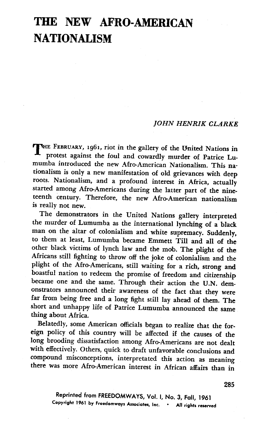# THE NEW AFRO-AMERICAN NATIONALISM

### JOHN HENRIK CLARKE

THE FEBRUARY, ig6i, riot in the gallery of the United Nations in protest against the foul and cowardly murder of Patrice Lumumba introduced the new Afro-American Nationalism. This nationalism is only <sup>a</sup> new manifestation of old grievances with deep roots. Nationalism, and a profound interest in Africa, actually started among Afro-Americans during the latter part of the nineteenth century. Therefore, the new Afro-American nationalism is really not new.

The demonstrators in the United Nations gallery interpreted the murder of Lumumba as the international lynching of a black man on the altar of colonialism and white supremacy. Suddenly, to them at least, Lumumba became Emmett Till and all of the other black victims of lynch law and the mob. The plight of the Africans still fighting to throw off the joke of colonialism and the plight of the Afro-Americans, still waiting for <sup>a</sup> rich, strong and boastful nation to redeem the promise of freedom and citizenship became one and the same. Through their action the U.N. demonstrators announced their awareness of the fact that they were far from being free and a long fight still lay ahead of them. The short and unhappy life of Patrice Lumumba announced the same thing about Africa.

Belatedly, some American officials began to realize that the foreign policy of this country will be affected if the causes of the long brooding dissatisfaction among Afro-Americans are not dealt with effectively. Others, quick to draft unfavorable conclusions and compound misconceptions, interpretated this action as meaning there was more Afro-American interest in African affairs than in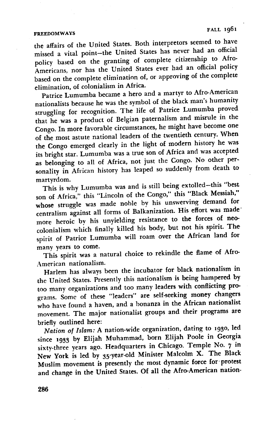### FALL 1961

#### FREEDOMWAYS

the affairs of the United States. Both interpretors seemed to have missed <sup>a</sup> vital point-the United States has never had an official policy based on the granting of complete citizenship to Afro-Americans, nor has the United States ever had an official policy based on the complete elimination of, or approving of the complete elimination, of colonialism in Africa.

Patrice Lumumba became <sup>a</sup> hero and <sup>a</sup> martyr to Afro-American nationalists because he was the symbol of the black man's humanity struggling for recognition. The life of Patrice Lumumba proved that he was <sup>a</sup> product of Belgian paternalism and misrule in the Congo. In more favorable circumstances, he might have become one of the most astute national leaders of the twentieth century. When the Congo emerged clearly in the light of modern history he was its bright star . Lumumba was <sup>a</sup> true son of Africa and was accepted as belonging to all of Africa, not just the Congo. No other personality in African history has leaped so suddenly from death to martyrdom.

This is why Lumumba was and is still being extolled-this "best son of Africa," this "Lincoln of the Congo," this "Black Messiah," whose struggle was made noble by his unswerving demand for centralism against all forms of Balkanization. His effort was made' more heroic by his unyielding resistance to the forces of neocolonialism which finally killed his body, but not his spirit. The spirit of Patrice Lumumba will roam over the African land for many years to come.

This spirit was <sup>a</sup> natural choice to rekindle the flame of Afro-American nationalism.

Harlem has always been the incubator for black nationalism in the United States. Presently this nationalism is being hampered by too many organizations and too many leaders with conflicting programs. Some of these "leaders" are self-seeking money changers who have found a haven, and <sup>a</sup> bonanza in the African nationalist movement. The major nationalist groups and their programs are briefly outlined here:

Nation of Islam: A nation-wide organization, dating to 1930, led since 1933 by Elijah Muhammad, born Elijah Poole in Georgia sixty-three years ago. Headquarters in Chicago. Temple No. 7 in New York is led by 35-year-old Minister Malcolm X. The Black Muslim movement is presently the most dynamic force for-protest and change in the United States. Of all the Afro-American nation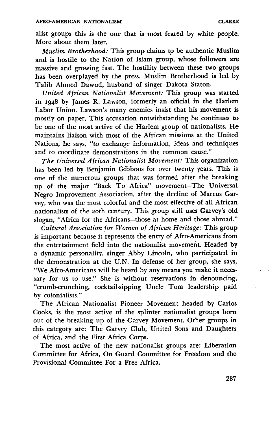alist groups this is the one that is most feared by white people. More about them later.

Muslim Brotherhood: This group claims to be authentic Muslim and is hostile to the Nation of Islam group, whose followers are massive and growing fast. The hostility between these two groups has been overplayed by the press. Muslim Brotherhood is led by Talib Ahmed Dawud, husband of singer Dakota Staton.

United African Nationalist Movement: This group was started in <sup>1948</sup> by James R. Lawson, formerly an official in the Harlem Labor Union. Lawson's many enemies insist that his movement is mostly on paper. This accusation notwithstanding he continues to be one of the most active of the Harlem group of nationalists . He maintains liaison with most of the African missions at the United Nations, he says, "to exchange information, ideas and techniques and to coordinate demonstrations in the common cause."

The Universal African Nationalist Movement: This organization has been led by Benjamin Gibbons for over twenty years. This is one of the numerous groups that was formed after the breaking up of the major "Back To Africa" movement-The Universal Negro Improvement Association, after the decline of Marcus Garvey, who was the most colorful and the most effective of all African nationalists of the 20th century. This group still uses Garvey's old slogan, "Africa for the Africans-those at home and those abroad."

Cultural Association for Women of African Heritage: This group is important because it represents the entry of Afro-Americans from the entertainment field into the nationalist movement. Headed by a dynamic personality, singer Abby Lincoln, who participated in the demonstration at the U.N. In defense of her group, she says, "We Afro-Americans will be heard by any means you make it necessary for us to use." She is without reservations in denouncing, "crumb-crunching, cocktail-sipping Uncle Tom leadership paid by colonialists."

The African Nationalist Pioneer Movement headed by Carlos Cooks, is the most active of the splinter nationalist groups born out of the breaking up of the Garvey Movement. Other groups in this category are: The Garvey Club, United Sons and Daughters of Africa; and the First Africa Corps.

The most active of the new nationalist groups are: Liberation Committee for Africa, On Guard Committee for Freedom and the Provisional Committee For a Free Africa.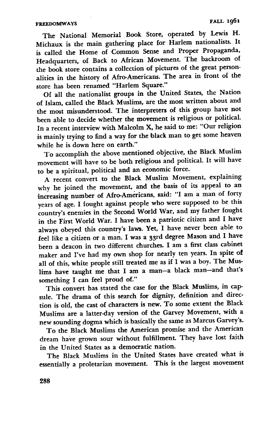# FREEDOMWAYS FALL <sup>1961</sup>

The National Memorial Book Store, operated by Lewis H. Michaux is the main gathering place for Harlem nationalists . It is called the Home of Common Sense and Proper Propaganda, Headquarters, of Back- to African Movement. The backroom of the book store contains <sup>a</sup> collection of pictures of the great personalities in the history of Afro-Americans. The area in front of the store has been renamed "Harlem Square."

Of all the nationalist groups in the United States, the Nation of Islam, called the Black Muslims, are the most written about and the most misunderstood. The interpreters of this group have not been able to decide whether the movement is religious or political. In a recent interview with Malcolm X, he said to me: "Our religion is mainly trying to find <sup>a</sup> way for the black man to get some heaven while he is down here on earth."

To accomplish the above mentioned objective, the Black Muslim movement will have to be both religious and political. It will have to be <sup>a</sup> spiritual, political and an economic force.

A recent convert to the Black Muslim Movement, explaining why he joined the movement, and the basis of its appeal to an increasing number of Afro-Americans, said: "I am a man of forty years of age. <sup>I</sup> fought against people who were supposed to be this country's enemies in the Second World War, and my father fought in the First World War. <sup>I</sup> have been <sup>a</sup> patriotic citizen and <sup>I</sup> have always obeyed this country's laws. Yet, <sup>I</sup> have never been able to feel like <sup>a</sup> citizen or <sup>a</sup> man. <sup>I</sup> was <sup>a</sup> 33rd degree Mason and <sup>I</sup> have been a deacon in two different churches . <sup>I</sup> am a first class cabinet maker and <sup>I</sup>'ve had my own shop for nearly ten years. In spite of all of this, white people still treated me as if <sup>I</sup> was <sup>a</sup> boy. The Muslims have taught me that <sup>I</sup> am a man-a black man-and that's something <sup>I</sup> can feel proud of."

This convert has stated the case for the Black Muslims, in capsule. The drama of this search for dignity, definition and direction is old, the cast of characters is new. To some extent the Black Muslims are a latter-day version of the Garvey Movement, with a new sounding dogma which is basically the same as Marcus Garvey's.

To the Black Muslims the American promise and the American dream have grown sour without fulfillment. They have lost faith in the United States as a democratic nation.

The Black Muslims in the United States have created what is essentially <sup>a</sup> proletarian movement. This is the largest movement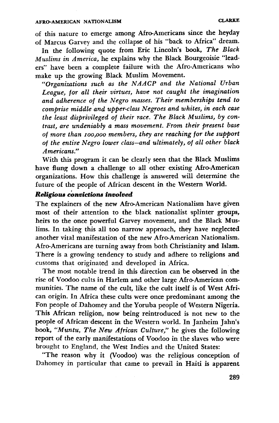of this nature to emerge among Afro-Americans since the heyday of Marcus Garvey and the collapse of his "back to Africa" dream.

In the following quote from Eric Lincoln's book, The Black Muslims in America, he explains why the Black Bourgeoisie "leaders" have been <sup>a</sup> complete failure with the Afro-Americans who make up the growing Black Muslim Movement.

"Organizations such as the NAACP and the National Urban League, for all their virtues, have not caught the imagination and adherence of the Negro masses . Their memberships tend to comprise middle and upper-class Negroes and whites, in each case the least disprivileged of their race . The Black Muslims, by contrast, are undeniably a mass movement. From their present base of more than roo,ooo members, they are reaching for the support of the entire Negro lower class-and ultimately, of all other black Americans."

With this program it can be clearly seen that the Black Muslims have flung down a challenge to all other existing Afro-American organizations. How this challenge is answered will determine the future of the people of African descent in the Western World.

## Religious convictions involved

The explainers of the new Afro-American Nationalism have given most of their attention to the black nationalist splinter groups, heirs to the once powerful Garvey movement, and the Black Muslims. In taking this all too narrow approach, they have neglected another vital manifestation of the new Afro-American Nationalism. Afro-Americans are turning away from both Christianity and Islam. There is a growing tendency to study and adhere to religions and customs that originated and developed in Africa.

The most notable trend in this direction can be observed in the rise of Voodoo cults in Harlem and other large Afro-American communities. The name of the cult, like the cult itself is of West Afri, can origin. In Africa these cults were once predominant among the Fon people of Dahomey and the Yoruba people of Western Nigeria. This African religion, now being reintroduced is not new to the people of African descent in the Western world. In Janheim Jahn's book, "Muntu, The New African Culture," he gives the following report of the early manifestations of Voodoo in the slaves who were brought to England, the West Indies and the United States :

"The reason why it (Voodoo) was the religious conception of Dahomey in particular that came to prevail in Haiti is apparent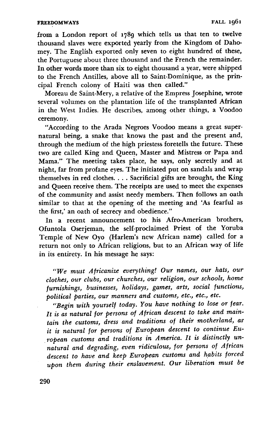from a London report of 1789 which tells us that ten to twelve thousand slaves were exported yearly from the Kingdom of Dahomey. The English exported only seven to eight hundred of these, the Portuguese about three thousand and the French the remainder. In other words more than six to eight thousand a year, were shipped to the French Antilles, above all to Saint-Dominique, as the principal French colony of Haiti was then called."

Moreau de Saint-Mery, a relative of the Empress Josephine, wrote several volumes on the plantation life of the transplanted African in the West Indies. He describes, among other things, a Voodoo ceremony.

"According to the Arada Negroes Voodoo means a great supernatural being, a snake that knows the past and the present and, through the medium of the high priestess foretells the future. These two are called King and Queen, Master and Mistress or Papa and Mama." The meeting takes place, he says, only secretly and at night, far from profane eyes . The initiated put on sandals and wrap themselves in red clothes. . . . Sacrificial gifts are brought, the King and Queen receive them. The receipts are used to meet the expenses of the community and assist needy members. Then follows an oath similar to that at the opening of the meeting and 'As fearful as the first,' an oath of secrecy and obedience."

In a recent announcement to his Afro-American brothers, Ofuntola Oserjeman, the self-proclaimed Priest of the Yoruba Temple of New Oyo (Harlem's new African name) called for <sup>a</sup> return not only to African religions, but to an African way of life in its entirety. In his message he says:

"We must Africanixe everything! Our names, our hats, our clothes, our clubs, our churches, our religion, our schools, home furnishings, businesses, holidays, games, arts, social functions, political parties, our manners and customs, etc., etc., etc.

"Begin with yourself today. You have nothing to lose or fear. It is as natural for persons of African descent to take and maintain the customs, dress and traditions of their motherland, as it is natural for persons of European descent to continue European customs and traditions in America. It is distinctly unnatural and degrading, even ridiculous, for persons of African descent to have and keep European customs and habits forced upon them during their enslavement. Our liberation must be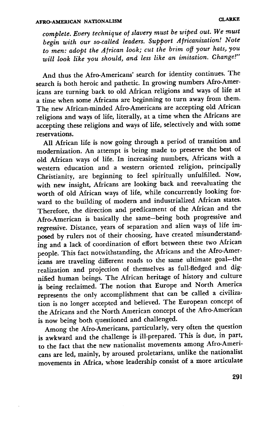complete. Every technique of slavery must be wiped out. We must begin with our so-called leaders. Support Africanization! Note to men: adopt the African look; cut the brim off your hats, you will look like you should, and less like an imitation. Change!"

And thus the Afro-Americans' search for identity continues. The search is both heroic and pathetic. In growing numbers Afro-Americans are turning back to old African religions and ways of life at a time when some Africans are beginning to turn away from them. The new African-minded Afro-Americans are accepting old African religions and ways of life, literally, at <sup>a</sup> time when the Africans are accepting these religions and ways of life, selectively and with some reservations.

All African life is now going through <sup>a</sup> period of transition and modernization. An attempt is being made to preserve the best of old African ways of life. In increasing numbers, Africans with a western education and a western oriented religion, principally Christianity, are beginning to feel spiritually unfulfilled. Now, with new insight, Africans are looking back and reevaluating the worth of old African ways of life, while concurrently looking forward to the building of modern and industrialized African states. Therefore, the direction and predicament of the African and the Afro-American is basically the same-being both progressive and regressive. Distance, years of separation and alien ways of life imposed by rulers not of their choosing, have created misunderstanding and a lack of coordination of effort between these two African people. This fact notwithstanding, the Africans and the Afro-Americans are traveling different roads to the same ultimate goal-the realization and projection of themselves as full-fledged and dignified human beings. The African heritage of history and culture is being reclaimed. The notion that Europe and North America represents the only accomplishment that can be called a civilization is no longer accepted and believed. The European concept of the Africans and the North American concept of the Afro-American is now being both questioned and challenged.

Among the Afro-Americans, particularly, very often the question is awkward and the challenge is ill-prepared. This is due, in part, to the fact that the new nationalist movements among Afro-Americans are led, mainly, by aroused proletarians, unlike the nationalist movements in Africa, whose leadership consist of <sup>a</sup> more articulate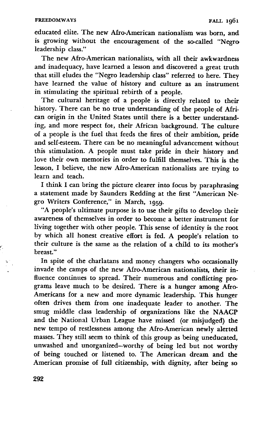educated elite. The new Afro-American nationalism was born, and is growing without the encouragement of the so-called "Negro leadership class."

The new Afro-American nationalists, with all their awkwardness and inadequacy, have learned a lesson and discovered a great truth that still eludes the "Negro leadership class" referred to here. They have learned the value of history and culture as an instrument in stimulating the spiritual rebirth of a people.

The cultural heritage of a people is directly related to their history. There can be no true understanding of the people of African origin in the United States until there is a better understanding, and more respect for, their African background. The culture of a people is the fuel that feeds the fires of their ambition, pride and self-esteem. There can be no meaningful advancement without this stimulation. A people must take pride in their history and love their own memories in order to fulfill themselves. This is the lesson, <sup>I</sup> believe, the new Afro-American nationalists are trying to learn and teach.

<sup>I</sup> think I can bring the picture clearer into focus by paraphrasing a statement made by Saunders Redding at the first "American Negro Writers Conference," in March, 1959-

"A people's ultimate purpose is to use their gifts to develop their awareness of themselves in order to become a better instrument for living together with other people. This sense of identity is the root by which all honest creative effort is fed. A people's relation to their culture is the same as the relation of a child to its mother's breast."

In spite of the charlatans and money changers who occasionally invade the camps of the new Afro-American nationalists, their influence continues to spread. Their numerous and conflicting programs leave much to be desired. There is a hunger among Afro-Americans for a new and more dynamic leadership. This hunger often drives them from one inadequate leader to another. The smug middle class leadership of organizations like the NAACP and the National Urban League have missed (or misjudged) the new tempo of restlessness among the Afro-American newly alerted masses . They still seem to think of this group as being uneducated, unwashed and unorganized-worthy of being led but not worthy of being touched or listened to. The American dream and the American promise of full citizenship, with dignity, after being so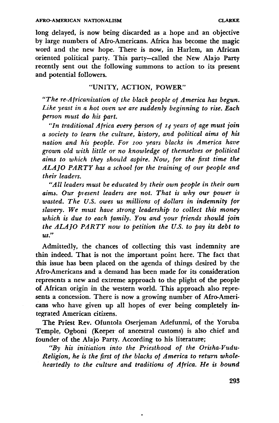long delayed, is now being discarded as a hope and an objective by large numbers of Afro-Americans . Africa has become the magic word and the new hope. There is now, in Harlem, an African oriented political party. This party-called the New Alajo Party recently sent out the following summons to action to its present and potential followers.

### "UNITY, ACTION, POWER"

"The re-Africanization of the black people of America has begun. Like yeast in a hot oven we are suddenly beginning to rise. Each person must do his part.

"In traditional Africa every person of  $I_4$  years of age must join a society to learn the culture, history, and political aims of his nation and his people. For 100 years blacks in America have grown old with little or no knowledge of themselves or political aims to which they should aspire . Now, for the first time the ALAJO PARTY has <sup>a</sup> school for the training of our people and their leaders.

"All leaders must be educated by their own people in their own aims. Our present leaders are not. That is why our power is wasted. The U.S. owes us millions of dollars in indemnity for slavery. We must have strong leadership to collect this money which is due to each family. You and your friends should join the ALAJO PARTY now to petition the U.S . to pay its debt to us.

Admittedly, the chances of collecting this vast indemnity are thin indeed. That is not the important point here. The fact that this issue has been placed on the agenda of things desired by the Afro-Americans and <sup>a</sup> demand has been made for its consideration represents a new and extreme approach to the plight of the people of African origin in the western world. This approach also represents a concession. There is now a growing number of Afro-Americans who have given up all hopes of ever being completely integrated American citizens.

The Priest Rev. Ofuntola Oserjeman Adefunmi, of the Yoruba Temple, Ogboni (Keeper of ancestral customs) is also chief and founder of the Alajo Party. According to his literature;

"By his initiation into the Priesthood of the Orisha-Yudu-Religion, he is the first of the blacks of America to return wholeheartedly to the culture and traditions of Africa. He is bound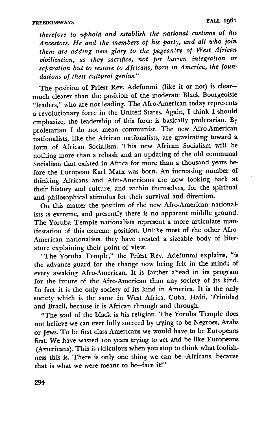therefore to uphold and establish the national customs of his Ancestors. He and the members of his party, and all who join them are adding new glory to the pageantry of West African civilization, as they sacrifice, not for barren integration or separation but to restore to Africans, born in America, the foundations of their cultural genius."

The position of Priest Rev. Adefunmi (like it or not) is clearmuch clearer than the position of the moderate Black Bourgeoisie "leaders," who are not leading. The Afro-American today represents a revolutionary force in the United States . Again, <sup>I</sup> think <sup>I</sup> should emphasize, the leadership of this force is basically proletarian. By proletarian <sup>I</sup> do not mean communist. The new Afro-American nationalists, like the African nationalists, are gravitating toward a form of African Socialism. This new African Socialism will be nothing more than a rehash and an updating of the old communal Socialism that existed in Africa for more than a thousand years before the European Karl Marx was born. An increasing number of thinking Africans and Afro-Americans are now looking back at their history and culture, and within themselves, for the spiritual and philosophical stimulus for their survival and direction.

On this matter the position of the new Afro-American nationalists is extreme, and presently there is no apparent middle ground. The Yoruba Temple nationalists represent a more articulate manifestation of this extreme position. Unlike most of the other Afro-American nationalists, they have created a sizeable body of literature explaining their point of view.

"The Yoruba Temple," the Priest Rev. Adefunmi explains, "is the advance guard for the change now being felt in the minds of every awaking Afro-American. It is farther ahead in its program for the future of the Afro-American than any society of its kind. In fact it is the only society of its kind in America. It is the only society which is the same in West Africa, Cuba, Haiti, Trinidad and Brazil, because it is African through and through.

"The soul of the black is his religion. The Yoruba Temple does not believe we can ever fully succeed by trying to be Negroes, Arabs or Jews. To be first class Americans we would have to be Europeans first. We have wasted ioo years trying to act and be like Europeans (Americans). This is ridiculous when you stop to think what foolishness this is . There is only one thing we can be-Africans, because that is what we were meant to be-face itl"